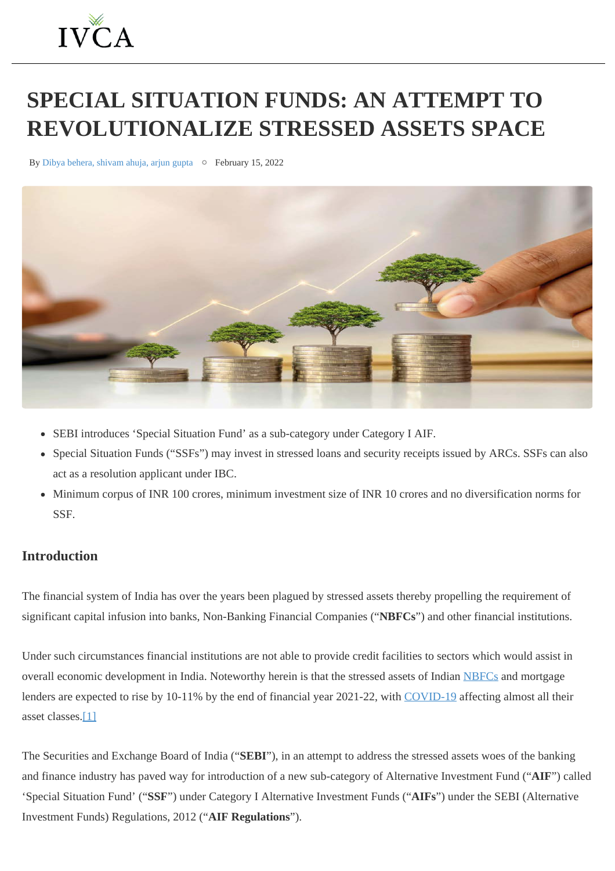# <span id="page-0-0"></span>**SPECIAL SITUATION FUNDS: AN ATTEMPT TO REVOLUTIONALIZE STRESSED ASSETS SPACE**

By Dibya behera, shivam ahuja, arjun gupta  $\circ$  February 15, 2022



- SEBI introduces 'Special Situation Fund' as a sub-category under Category I AIF.
- Special Situation Funds ("SSFs") may invest in stressed loans and security receipts issued by ARCs. SSFs can also act as a resolution applicant under IBC.
- Minimum corpus of INR 100 crores, minimum investment size of INR 10 crores and no diversification norms for SSF.

# **Introduction**

The financial system of India has over the years been plagued by stressed assets thereby propelling the requirement of significant capital infusion into banks, Non-Banking Financial Companies ("**NBFCs**") and other financial institutions.

Under such circumstances financial institutions are not able to provide credit facilities to sectors which would assist in overall economic development in India. Noteworthy herein is that the stressed assets of Indian [NBFCs](https://ivca.in/blog/2022/02/15/special-situation-funds-an-attempt-to-revolutionalize-stressed-assets-space/blank) and mortgage lenders are expected to rise by 10-11% by the end of financial year 2021-22, with [COVID-19](https://ivca.in/blog/2022/02/15/special-situation-funds-an-attempt-to-revolutionalize-stressed-assets-space/blank) affecting almost all their asset classes.[\[1\]](#page-0-0)

The Securities and Exchange Board of India ("**SEBI**"), in an attempt to address the stressed assets woes of the banking and finance industry has paved way for introduction of a new sub-category of Alternative Investment Fund ("**AIF**") called 'Special Situation Fund' ("**SSF**") under Category I Alternative Investment Funds ("**AIFs**") under the SEBI (Alternative Investment Funds) Regulations, 2012 ("**AIF Regulations**").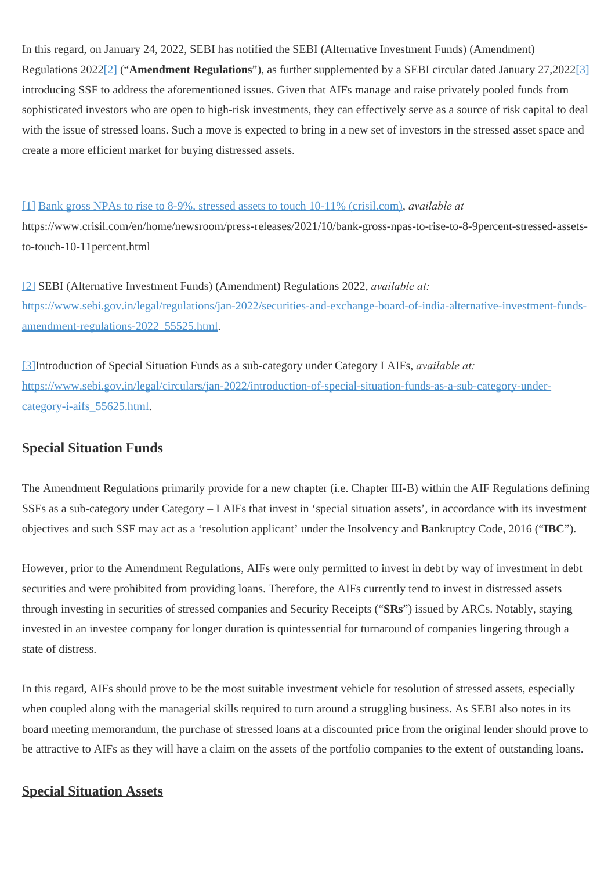In this regard, on January 24, 2022, SEBI has notified the SEBI (Alternative Investment Funds) (Amendment) Regulations 202[2\[2\]](#page-0-0) ("**Amendment Regulations**"), as further supplemented by a SEBI circular dated January 27,202[2\[3\]](#page-0-0) introducing SSF to address the aforementioned issues. Given that AIFs manage and raise privately pooled funds from sophisticated investors who are open to high-risk investments, they can effectively serve as a source of risk capital to deal with the issue of stressed loans. Such a move is expected to bring in a new set of investors in the stressed asset space and create a more efficient market for buying distressed assets.

#### [\[1\]](#page-0-0) [Bank gross NPAs to rise to 8-9%, stressed assets to touch 10-11% \(crisil.com\)](about:blank), *available at*

https://www.crisil.com/en/home/newsroom/press-releases/2021/10/bank-gross-npas-to-rise-to-8-9percent-stressed-assetsto-touch-10-11percent.html

[\[2\]](#page-0-0) SEBI (Alternative Investment Funds) (Amendment) Regulations 2022, *available at:* [https://www.sebi.gov.in/legal/regulations/jan-2022/securities-and-exchange-board-of-india-alternative-investment-funds](about:blank)[amendment-regulations-2022\\_55525.html](about:blank).

[\[3\]](#page-0-0)Introduction of Special Situation Funds as a sub-category under Category I AIFs, *available at:* [https://www.sebi.gov.in/legal/circulars/jan-2022/introduction-of-special-situation-funds-as-a-sub-category-under](about:blank)[category-i-aifs\\_55625.html](about:blank).

## **Special Situation Funds**

The Amendment Regulations primarily provide for a new chapter (i.e. Chapter III-B) within the AIF Regulations defining SSFs as a sub-category under Category – I AIFs that invest in 'special situation assets', in accordance with its investment objectives and such SSF may act as a 'resolution applicant' under the Insolvency and Bankruptcy Code, 2016 ("**IBC**").

However, prior to the Amendment Regulations, AIFs were only permitted to invest in debt by way of investment in debt securities and were prohibited from providing loans. Therefore, the AIFs currently tend to invest in distressed assets through investing in securities of stressed companies and Security Receipts ("**SRs**") issued by ARCs. Notably, staying invested in an investee company for longer duration is quintessential for turnaround of companies lingering through a state of distress.

In this regard, AIFs should prove to be the most suitable investment vehicle for resolution of stressed assets, especially when coupled along with the managerial skills required to turn around a struggling business. As SEBI also notes in its board meeting memorandum, the purchase of stressed loans at a discounted price from the original lender should prove to be attractive to AIFs as they will have a claim on the assets of the portfolio companies to the extent of outstanding loans.

## **Special Situation Assets**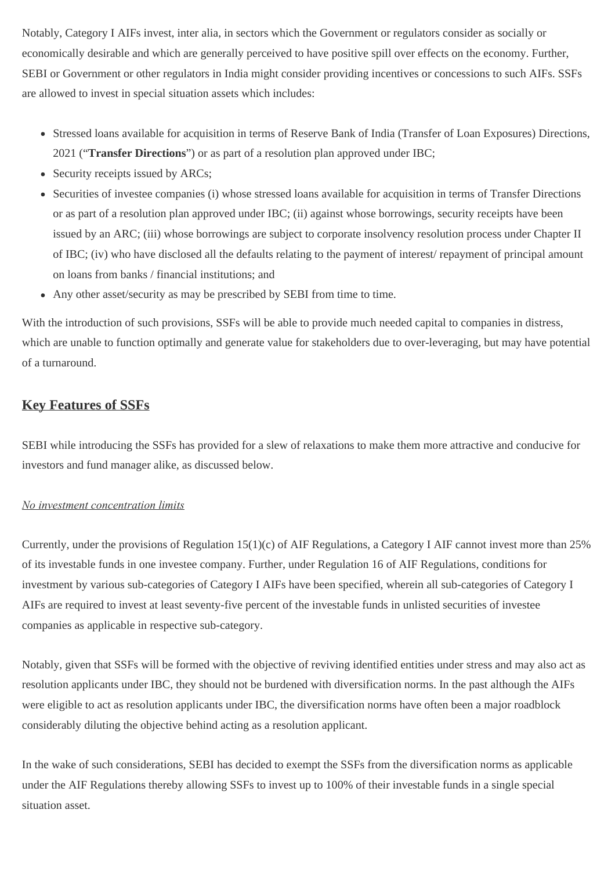Notably, Category I AIFs invest, inter alia, in sectors which the Government or regulators consider as socially or economically desirable and which are generally perceived to have positive spill over effects on the economy. Further, SEBI or Government or other regulators in India might consider providing incentives or concessions to such AIFs. SSFs are allowed to invest in special situation assets which includes:

- Stressed loans available for acquisition in terms of Reserve Bank of India (Transfer of Loan Exposures) Directions, 2021 ("**Transfer Directions**") or as part of a resolution plan approved under IBC;
- Security receipts issued by ARCs;
- Securities of investee companies (i) whose stressed loans available for acquisition in terms of Transfer Directions or as part of a resolution plan approved under IBC; (ii) against whose borrowings, security receipts have been issued by an ARC; (iii) whose borrowings are subject to corporate insolvency resolution process under Chapter II of IBC; (iv) who have disclosed all the defaults relating to the payment of interest/ repayment of principal amount on loans from banks / financial institutions; and
- Any other asset/security as may be prescribed by SEBI from time to time.

With the introduction of such provisions, SSFs will be able to provide much needed capital to companies in distress, which are unable to function optimally and generate value for stakeholders due to over-leveraging, but may have potential of a turnaround.

# **Key Features of SSFs**

SEBI while introducing the SSFs has provided for a slew of relaxations to make them more attractive and conducive for investors and fund manager alike, as discussed below.

## *No investment concentration limits*

Currently, under the provisions of Regulation 15(1)(c) of AIF Regulations, a Category I AIF cannot invest more than 25% of its investable funds in one investee company. Further, under Regulation 16 of AIF Regulations, conditions for investment by various sub-categories of Category I AIFs have been specified, wherein all sub-categories of Category I AIFs are required to invest at least seventy-five percent of the investable funds in unlisted securities of investee companies as applicable in respective sub-category.

Notably, given that SSFs will be formed with the objective of reviving identified entities under stress and may also act as resolution applicants under IBC, they should not be burdened with diversification norms. In the past although the AIFs were eligible to act as resolution applicants under IBC, the diversification norms have often been a major roadblock considerably diluting the objective behind acting as a resolution applicant.

In the wake of such considerations, SEBI has decided to exempt the SSFs from the diversification norms as applicable under the AIF Regulations thereby allowing SSFs to invest up to 100% of their investable funds in a single special situation asset.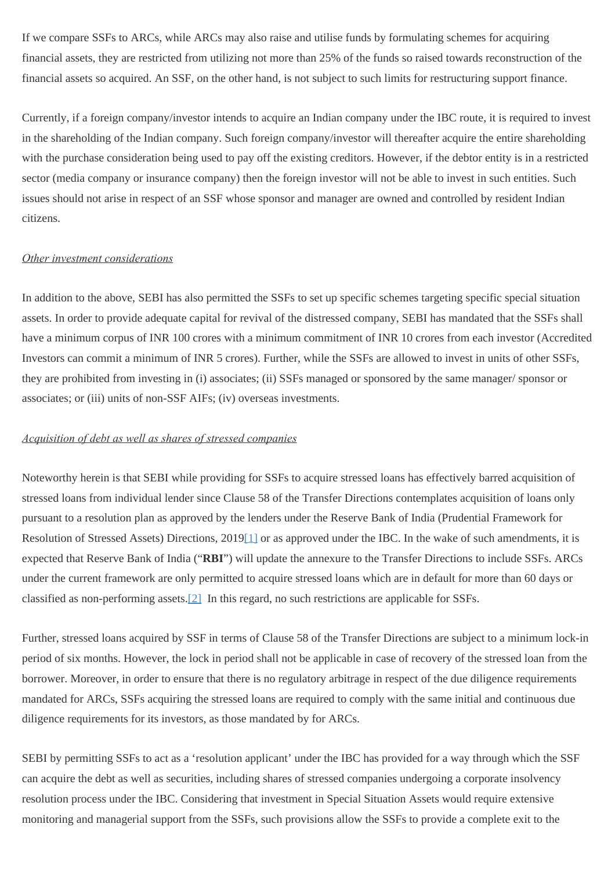If we compare SSFs to ARCs, while ARCs may also raise and utilise funds by formulating schemes for acquiring financial assets, they are restricted from utilizing not more than 25% of the funds so raised towards reconstruction of the financial assets so acquired. An SSF, on the other hand, is not subject to such limits for restructuring support finance.

Currently, if a foreign company/investor intends to acquire an Indian company under the IBC route, it is required to invest in the shareholding of the Indian company. Such foreign company/investor will thereafter acquire the entire shareholding with the purchase consideration being used to pay off the existing creditors. However, if the debtor entity is in a restricted sector (media company or insurance company) then the foreign investor will not be able to invest in such entities. Such issues should not arise in respect of an SSF whose sponsor and manager are owned and controlled by resident Indian citizens.

#### *Other investment considerations*

In addition to the above, SEBI has also permitted the SSFs to set up specific schemes targeting specific special situation assets. In order to provide adequate capital for revival of the distressed company, SEBI has mandated that the SSFs shall have a minimum corpus of INR 100 crores with a minimum commitment of INR 10 crores from each investor (Accredited Investors can commit a minimum of INR 5 crores). Further, while the SSFs are allowed to invest in units of other SSFs, they are prohibited from investing in (i) associates; (ii) SSFs managed or sponsored by the same manager/ sponsor or associates; or (iii) units of non-SSF AIFs; (iv) overseas investments.

#### *Acquisition of debt as well as shares of stressed companies*

Noteworthy herein is that SEBI while providing for SSFs to acquire stressed loans has effectively barred acquisition of stressed loans from individual lender since Clause 58 of the Transfer Directions contemplates acquisition of loans only pursuant to a resolution plan as approved by the lenders under the Reserve Bank of India (Prudential Framework for Resolution of Stressed Assets) Directions, 201[9\[1\]](#page-0-0) or as approved under the IBC. In the wake of such amendments, it is expected that Reserve Bank of India ("**RBI**") will update the annexure to the Transfer Directions to include SSFs. ARCs under the current framework are only permitted to acquire stressed loans which are in default for more than 60 days or classified as non-performing assets.[\[2\]](#page-0-0) In this regard, no such restrictions are applicable for SSFs.

Further, stressed loans acquired by SSF in terms of Clause 58 of the Transfer Directions are subject to a minimum lock-in period of six months. However, the lock in period shall not be applicable in case of recovery of the stressed loan from the borrower. Moreover, in order to ensure that there is no regulatory arbitrage in respect of the due diligence requirements mandated for ARCs, SSFs acquiring the stressed loans are required to comply with the same initial and continuous due diligence requirements for its investors, as those mandated by for ARCs.

SEBI by permitting SSFs to act as a 'resolution applicant' under the IBC has provided for a way through which the SSF can acquire the debt as well as securities, including shares of stressed companies undergoing a corporate insolvency resolution process under the IBC. Considering that investment in Special Situation Assets would require extensive monitoring and managerial support from the SSFs, such provisions allow the SSFs to provide a complete exit to the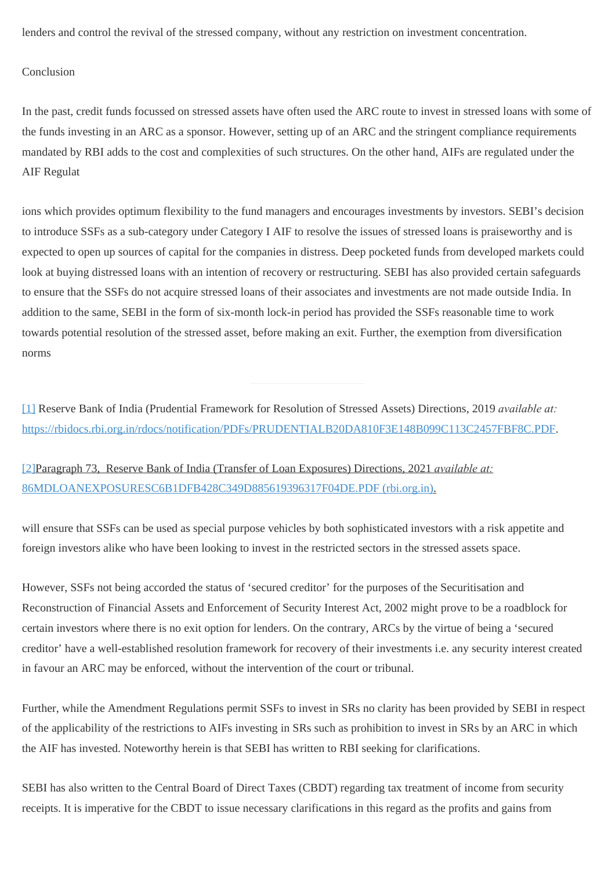lenders and control the revival of the stressed company, without any restriction on investment concentration.

### Conclusion

In the past, credit funds focussed on stressed assets have often used the ARC route to invest in stressed loans with some of the funds investing in an ARC as a sponsor. However, setting up of an ARC and the stringent compliance requirements mandated by RBI adds to the cost and complexities of such structures. On the other hand, AIFs are regulated under the AIF Regulat

ions which provides optimum flexibility to the fund managers and encourages investments by investors. SEBI's decision to introduce SSFs as a sub-category under Category I AIF to resolve the issues of stressed loans is praiseworthy and is expected to open up sources of capital for the companies in distress. Deep pocketed funds from developed markets could look at buying distressed loans with an intention of recovery or restructuring. SEBI has also provided certain safeguards to ensure that the SSFs do not acquire stressed loans of their associates and investments are not made outside India. In addition to the same, SEBI in the form of six-month lock-in period has provided the SSFs reasonable time to work towards potential resolution of the stressed asset, before making an exit. Further, the exemption from diversification norms

[\[1\]](#page-0-0) Reserve Bank of India (Prudential Framework for Resolution of Stressed Assets) Directions, 2019 *available at:* [https://rbidocs.rbi.org.in/rdocs/notification/PDFs/PRUDENTIALB20DA810F3E148B099C113C2457FBF8C.PDF](about:blank).

[\[2\]](#page-0-0)Paragraph 73, Reserve Bank of India (Transfer of Loan Exposures) Directions, 2021 *available at:* [86MDLOANEXPOSURESC6B1DFB428C349D885619396317F04DE.PDF \(rbi.org.in\)](https://rbidocs.rbi.org.in/rdocs/notification/PDFs/86MDLOANEXPOSURESC6B1DFB428C349D885619396317F04DE.PDF).

will ensure that SSFs can be used as special purpose vehicles by both sophisticated investors with a risk appetite and foreign investors alike who have been looking to invest in the restricted sectors in the stressed assets space.

However, SSFs not being accorded the status of 'secured creditor' for the purposes of the Securitisation and Reconstruction of Financial Assets and Enforcement of Security Interest Act, 2002 might prove to be a roadblock for certain investors where there is no exit option for lenders. On the contrary, ARCs by the virtue of being a 'secured creditor' have a well-established resolution framework for recovery of their investments i.e. any security interest created in favour an ARC may be enforced, without the intervention of the court or tribunal.

Further, while the Amendment Regulations permit SSFs to invest in SRs no clarity has been provided by SEBI in respect of the applicability of the restrictions to AIFs investing in SRs such as prohibition to invest in SRs by an ARC in which the AIF has invested. Noteworthy herein is that SEBI has written to RBI seeking for clarifications.

SEBI has also written to the Central Board of Direct Taxes (CBDT) regarding tax treatment of income from security receipts. It is imperative for the CBDT to issue necessary clarifications in this regard as the profits and gains from